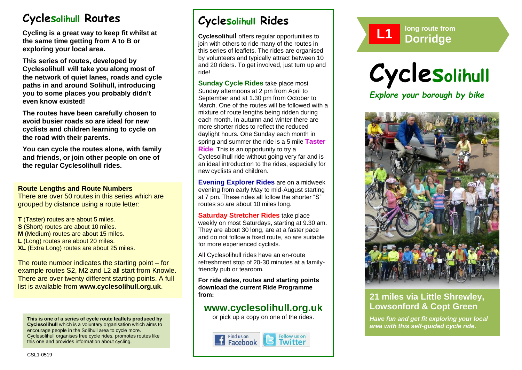# **Cyclesolihull Routes**

**Cycling is a great way to keep fit whilst at the same time getting from A to B or exploring your local area.** 

**This series of routes, developed by Cyclesolihull will take you along most of the network of quiet lanes, roads and cycle paths in and around Solihull, introducing you to some places you probably didn't even know existed!**

**The routes have been carefully chosen to avoid busier roads so are ideal for new cyclists and children learning to cycle on the road with their parents.** 

**You can cycle the routes alone, with family and friends, or join other people on one of the regular Cyclesolihull rides.**

#### **Route Lengths and Route Numbers**

There are over 50 routes in this series which are grouped by distance using a route letter:

**T** (Taster) routes are about 5 miles. **S** (Short) routes are about 10 miles. **M** (Medium) routes are about 15 miles. **L** (Long) routes are about 20 miles. **XL** (Extra Long) routes are about 25 miles.

The route number indicates the starting point – for example routes S2, M2 and L2 all start from Knowle. There are over twenty different starting points. A full list is available from **www.cyclesolihull.org.uk**.

**This is one of a series of cycle route leaflets produced by Cyclesolihull** which is a voluntary organisation which aims to encourage people in the Solihull area to cycle more. Cyclesolihull organises free cycle rides, promotes routes like this one and provides information about cycling.

# **Cyclesolihull Rides**

**Cyclesolihull** offers regular opportunities to join with others to ride many of the routes in this series of leaflets. The rides are organised by volunteers and typically attract between 10 and 20 riders. To get involved, just turn up and ride!

**Sunday Cycle Rides** take place most Sunday afternoons at 2 pm from April to September and at 1.30 pm from October to March. One of the routes will be followed with a mixture of route lengths being ridden during each month. In autumn and winter there are more shorter rides to reflect the reduced daylight hours. One Sunday each month in spring and summer the ride is a 5 mile **Taster Ride**. This is an opportunity to try a Cyclesolihull ride without going very far and is an ideal introduction to the rides, especially for new cyclists and children.

**Evening Explorer Rides** are on a midweek evening from early May to mid-August starting at 7 pm. These rides all follow the shorter "S" routes so are about 10 miles long.

**Saturday Stretcher Rides** take place weekly on most Saturdays, starting at 9.30 am. They are about 30 long, are at a faster pace and do not follow a fixed route, so are suitable for more experienced cyclists.

All Cyclesolihull rides have an en-route refreshment stop of 20-30 minutes at a familyfriendly pub or tearoom.

**For ride dates, routes and starting points download the current Ride Programme from:** 

## **www.cyclesolihull.org.uk**

or pick up a copy on one of the rides.









### **21 miles via Little Shrewley, Lowsonford & Copt Green**

*Have fun and get fit exploring your local area with this self-guided cycle ride.*